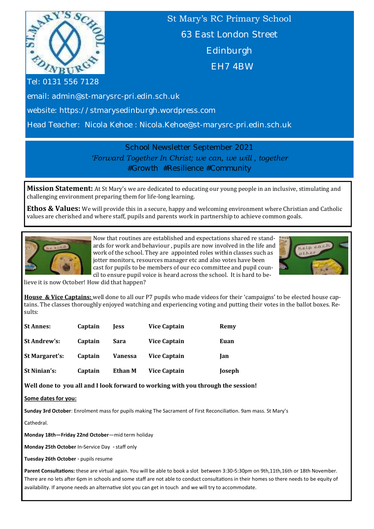

St Mary's RC Primary School 63 East London Street Edinburgh EH7 4BW

Tel: 0131 556 7128

email: admin@st-marysrc-pri.edin.sch.uk

website: https://stmarysedinburgh.wordpress.com

Head Teacher: Nicola Kehoe : Nicola.Kehoe@st-marysrc-pri.edin.sch.uk

School Newsletter September 2021 *'Forward Together In Christ; we can, we will , together #Growth #Resilience #Community*

**Mission Statement:** At St Mary's we are dedicated to educating our young people in an inclusive, stimulating and challenging environment preparing them for life-long learning.

**Ethos & Values:** We will provide this in a secure, happy and welcoming environment where Christian and Catholic values are cherished and where staff, pupils and parents work in partnership to achieve common goals.



Now that routines are established and expectations shared re standards for work and behaviour , pupils are now involved in the life and work of the school. They are appointed roles within classes such as jotter monitors, resources manager etc and also votes have been cast for pupils to be members of our eco committee and pupil council to ensure pupil voice is heard across the school. It is hard to be-



lieve it is now October! How did that happen?

**House & Vice Captains:** well done to all our P7 pupils who made videos for their 'campaigns' to be elected house captains. The classes thoroughly enjoyed watching and experiencing voting and putting their votes in the ballot boxes. Results:

| <b>St Annes:</b>    | Captain | less    | Vice Captain | Remy   |
|---------------------|---------|---------|--------------|--------|
| <b>St Andrew's:</b> | Captain | Sara    | Vice Captain | Euan   |
| St Margaret's:      | Captain | Vanessa | Vice Captain | lan    |
| <b>St Ninian's:</b> | Captain | Ethan M | Vice Captain | Joseph |

**Well done to you all and I look forward to working with you through the session!**

**Some dates for you:**

**Sunday 3rd October**: Enrolment mass for pupils making The Sacrament of First Reconciliation. 9am mass. St Mary's

Cathedral.

**Monday 18th—Friday 22nd October**—mid term holiday

**Monday 25th October** In-Service Day - staff only

**Tuesday 26th October** - pupils resume

**Parent Consultations:** these are virtual again. You will be able to book a slot between 3:30-5:30pm on 9th,11th,16th or 18th November. There are no lets after 6pm in schools and some staff are not able to conduct consultations in their homes so there needs to be equity of availability. If anyone needs an alternative slot you can get in touch and we will try to accommodate.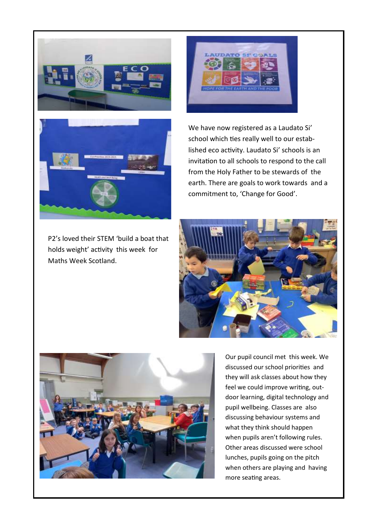





P2's loved their STEM 'build a boat that holds weight' activity this week for Maths Week Scotland.

We have now registered as a Laudato Si' school which ties really well to our established eco activity. Laudato Si' schools is an invitation to all schools to respond to the call from the Holy Father to be stewards of the earth. There are goals to work towards and a commitment to, 'Change for Good'.





Our pupil council met this week. We discussed our school priorities and they will ask classes about how they feel we could improve writing, outdoor learning, digital technology and pupil wellbeing. Classes are also discussing behaviour systems and what they think should happen when pupils aren't following rules. Other areas discussed were school lunches, pupils going on the pitch when others are playing and having more seating areas.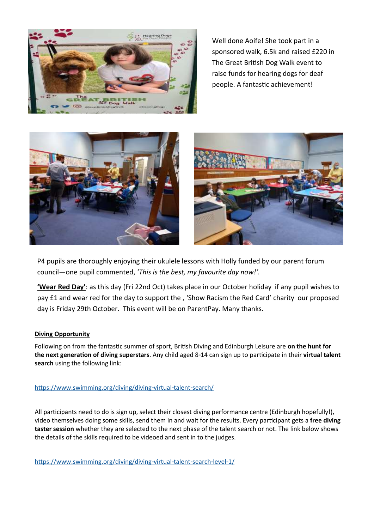

Well done Aoife! She took part in a sponsored walk, 6.5k and raised £220 in The Great British Dog Walk event to raise funds for hearing dogs for deaf people. A fantastic achievement!





P4 pupils are thoroughly enjoying their ukulele lessons with Holly funded by our parent forum council—one pupil commented, *'This is the best, my favourite day now!'.* 

**'Wear Red Day'**: as this day (Fri 22nd Oct) takes place in our October holiday if any pupil wishes to pay £1 and wear red for the day to support the , 'Show Racism the Red Card' charity our proposed day is Friday 29th October. This event will be on ParentPay. Many thanks.

#### **Diving Opportunity**

Following on from the fantastic summer of sport, British Diving and Edinburgh Leisure are **on the hunt for the next generation of diving superstars**. Any child aged 8-14 can sign up to participate in their **virtual talent search** using the following link:

#### <https://www.swimming.org/diving/diving-virtual-talent-search/>

All participants need to do is sign up, select their closest diving performance centre (Edinburgh hopefully!), video themselves doing some skills, send them in and wait for the results. Every participant gets a **free diving taster session** whether they are selected to the next phase of the talent search or not. The link below shows the details of the skills required to be videoed and sent in to the judges.

<https://www.swimming.org/diving/diving-virtual-talent-search-level-1/>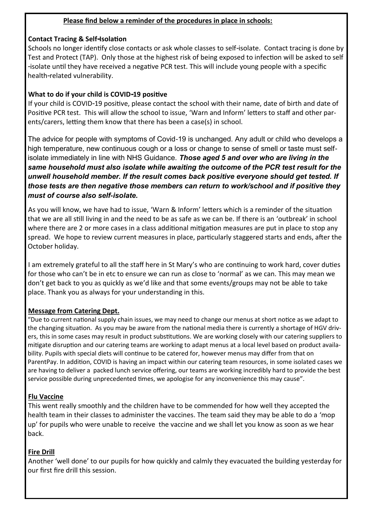## **Please find below a reminder of the procedures in place in schools:**

## **Contact Tracing & Self-Isolation**

Schools no longer identify close contacts or ask whole classes to self-isolate. Contact tracing is done by Test and Protect (TAP). Only those at the highest risk of being exposed to infection will be asked to self -isolate until they have received a negative PCR test. This will include young people with a specific health-related vulnerability.

## **What to do if your child is COVID-19 positive**

If your child is COVID-19 positive, please contact the school with their name, date of birth and date of Positive PCR test. This will allow the school to issue, 'Warn and Inform' letters to staff and other parents/carers, letting them know that there has been a case(s) in school.

The advice for people with symptoms of Covid-19 is unchanged. Any adult or child who develops a high temperature, new continuous cough or a loss or change to sense of smell or taste must selfisolate immediately in line with NHS Guidance. *Those aged 5 and over who are living in the same household must also isolate while awaiting the outcome of the PCR test result for the unwell household member. If the result comes back positive everyone should get tested. If those tests are then negative those members can return to work/school and if positive they must of course also self-isolate.*

As you will know, we have had to issue, 'Warn & Inform' letters which is a reminder of the situation that we are all still living in and the need to be as safe as we can be. If there is an 'outbreak' in school where there are 2 or more cases in a class additional mitigation measures are put in place to stop any spread. We hope to review current measures in place, particularly staggered starts and ends, after the October holiday.

I am extremely grateful to all the staff here in St Mary's who are continuing to work hard, cover duties for those who can't be in etc to ensure we can run as close to 'normal' as we can. This may mean we don't get back to you as quickly as we'd like and that some events/groups may not be able to take place. Thank you as always for your understanding in this.

## **Message from Catering Dept.**

"Due to current national supply chain issues, we may need to change our menus at short notice as we adapt to the changing situation. As you may be aware from the national media there is currently a shortage of HGV drivers, this in some cases may result in product substitutions. We are working closely with our catering suppliers to mitigate disruption and our catering teams are working to adapt menus at a local level based on product availability. Pupils with special diets will continue to be catered for, however menus may differ from that on ParentPay. In addition, COVID is having an impact within our catering team resources, in some isolated cases we are having to deliver a packed lunch service offering, our teams are working incredibly hard to provide the best service possible during unprecedented times, we apologise for any inconvenience this may cause".

## **Flu Vaccine**

This went really smoothly and the children have to be commended for how well they accepted the health team in their classes to administer the vaccines. The team said they may be able to do a 'mop up' for pupils who were unable to receive the vaccine and we shall let you know as soon as we hear back.

## **Fire Drill**

Another 'well done' to our pupils for how quickly and calmly they evacuated the building yesterday for our first fire drill this session.